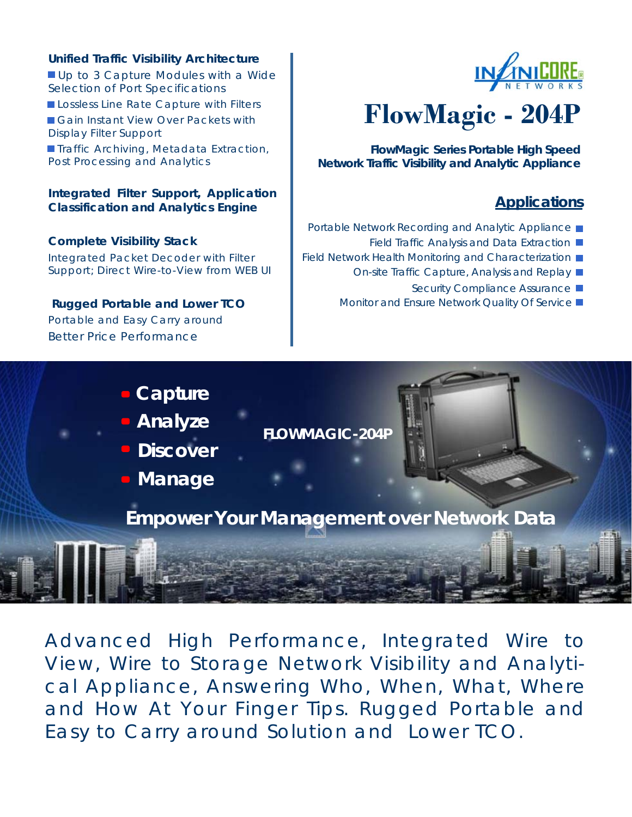### **Unified Traffic Visibility Architecture**

Up to 3 Capture Modules with a Wide Selection of Port Specifications Lossless Line Rate Capture with Filters Gain Instant View Over Packets with Display Filter Support **Traffic Archiving, Metadata Extraction,** Post Processing and Analytics

#### **Integrated Filter Support, Application Classification and Analytics Engine**

**Complete Visibility Stack**  Integrated Packet Decoder with Filter Support; Direct Wire-to-View from WEB UI

 **Rugged Portable and Lower TCO**  Portable and Easy Carry around Better Price Performance



# **FlowMagic - 204P**

**FlowMagic Series Portable High Speed Network Traffic Visibility and Analytic Appliance** 

# **Applications**

- Portable Network Recording and Analytic Appliance
	- Field Traffic Analysis and Data Extraction
- Field Network Health Monitoring and Characterization  $\blacksquare$ 
	- On-site Traffic Capture, Analysis and Replay
		- Security Compliance Assurance ■
	- Monitor and Ensure Network Quality Of Service



Advanced High Performance, Integrated Wire to View, Wire to Storage Network Visibility and Analytical Appliance, Answering Who, When, What, Where and How At Your Finger Tips. Rugged Portable and Easy to Carry around Solution and Lower TCO.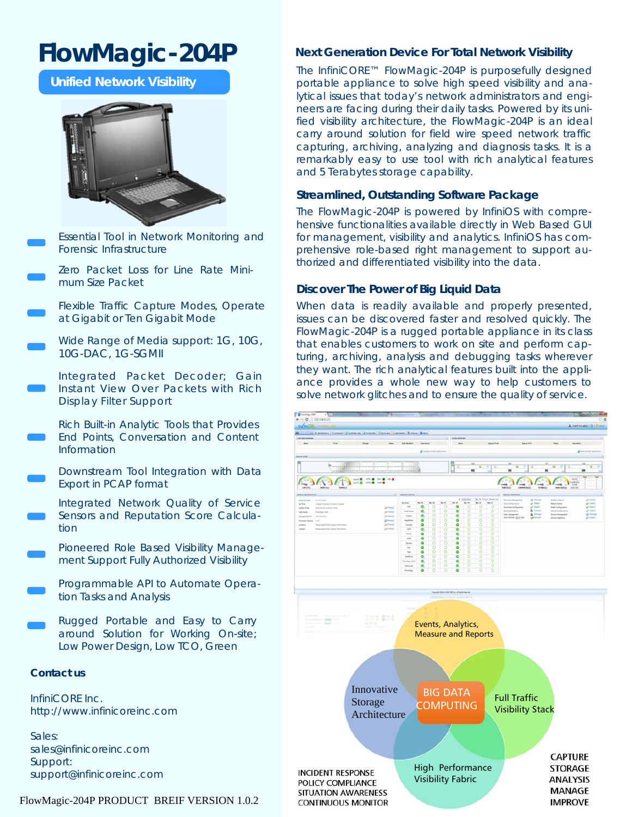# **FlowMagic-204P**

**Unified Network Visibility** 



Essential Tool in Network Monitoring and Forensic Infrastructure

Zero Packet Loss for Line Rate Minimum Size Packet

Flexible Traffic Capture Modes, Operate at Gigabit or Ten Gigabit Mode

Wide Range of Media support: 1G, 10G, 10G-DAC, 1G-SGMII

Integrated Packet Decoder; Gain Instant View Over Packets with Rich Display Filter Support

Rich Built-in Analytic Tools that Provides End Points, Conversation and Content Information

Downstream Tool Integration with Data Export in PCAP format

Integrated Network Quality of Service Sensors and Reputation Score Calculation

Pioneered Role Based Visibility Management Support Fully Authorized Visibility

Programmable API to Automate Operation Tasks and Analysis

Rugged Portable and Easy to Carry around Solution for Working On-site; Low Power Design, Low TCO, Green

#### **Contact us**

InfiniCORE Inc. http://www.infinicoreinc.com

Sales: sales@infinicoreinc.com Support: support@infinicoreinc.com

#### FlowMagic-204P PRODUCT BREIF VERSION 1.0.2

#### **Next Generation Device For Total Network Visibility**

The InfiniCORE™ FlowMagic-204P is purposefully designed portable appliance to solve high speed visibility and analytical issues that today's network administrators and engineers are facing during their daily tasks. Powered by its unified visibility architecture, the FlowMagic-204P is an ideal carry around solution for field wire speed network traffic capturing, archiving, analyzing and diagnosis tasks. It is a remarkably easy to use tool with rich analytical features and 5 Terabytes storage capability.

#### **Streamlined, Outstanding Software Package**

The FlowMagic-204P is powered by InfiniOS with comprehensive functionalities available directly in Web Based GUI for management, visibility and analytics. InfiniOS has comprehensive role-based right management to support authorized and differentiated visibility into the data.

#### **Discover The Power of Big Liquid Data**

When data is readily available and properly presented, issues can be discovered faster and resolved quickly. The FlowMagic-204P is a rugged portable appliance in its class that enables customers to work on site and perform capturing, archiving, analysis and debugging tasks wherever they want. The rich analytical features built into the appliance provides a whole new way to help customers to solve network glitches and to ensure the quality of service.

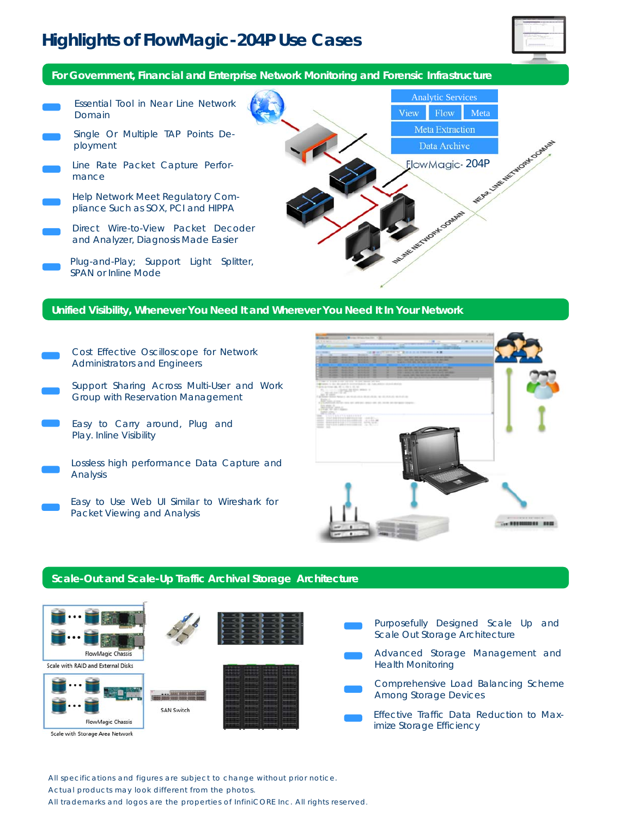# **Highlights of FlowMagic-204P Use Cases**



**For Government, Financial and Enterprise Network Monitoring and Forensic Infrastructure** 



#### **Unified Visibility, Whenever You Need It and Wherever You Need It In Your Network**

- Cost Effective Oscilloscope for Network Administrators and Engineers
- Support Sharing Across Multi-User and Work Group with Reservation Management
- Easy to Carry around, Plug and Play. Inline Visibility
- Lossless high performance Data Capture and Analysis
	- Easy to Use Web UI Similar to Wireshark for Packet Viewing and Analysis



#### **Scale-Out and Scale-Up Traffic Archival Storage Architecture**



Scale with Storage Area Network

All specifications and figures are subject to change without prior notice. Actual products may look different from the photos.

All trademarks and logos are the properties of InfiniCORE Inc. All rights reserved.